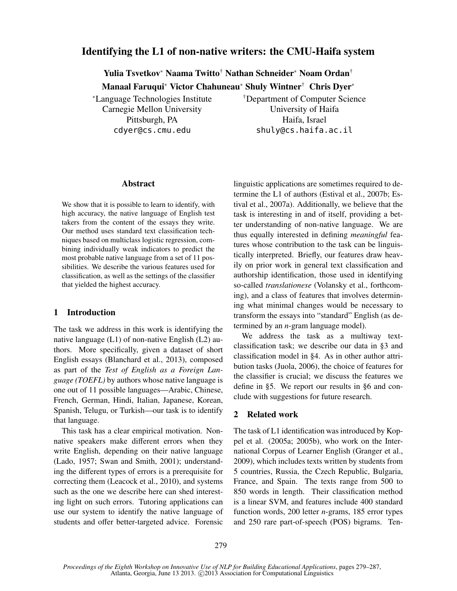# Identifying the L1 of non-native writers: the CMU-Haifa system

Yulia Tsvetkov<sup>∗</sup> Naama Twitto† Nathan Schneider<sup>∗</sup> Noam Ordan† Manaal Faruqui<sup>∗</sup> Victor Chahuneau<sup>∗</sup> Shuly Wintner† Chris Dyer<sup>∗</sup>

<sup>∗</sup>Language Technologies Institute Carnegie Mellon University Pittsburgh, PA cdyer@cs.cmu.edu

†Department of Computer Science University of Haifa Haifa, Israel shuly@cs.haifa.ac.il

### Abstract

We show that it is possible to learn to identify, with high accuracy, the native language of English test takers from the content of the essays they write. Our method uses standard text classification techniques based on multiclass logistic regression, combining individually weak indicators to predict the most probable native language from a set of 11 possibilities. We describe the various features used for classification, as well as the settings of the classifier that yielded the highest accuracy.

# 1 Introduction

The task we address in this work is identifying the native language (L1) of non-native English (L2) authors. More specifically, given a dataset of short English essays (Blanchard et al., 2013), composed as part of the *Test of English as a Foreign Language (TOEFL)* by authors whose native language is one out of 11 possible languages—Arabic, Chinese, French, German, Hindi, Italian, Japanese, Korean, Spanish, Telugu, or Turkish—our task is to identify that language.

This task has a clear empirical motivation. Nonnative speakers make different errors when they write English, depending on their native language (Lado, 1957; Swan and Smith, 2001); understanding the different types of errors is a prerequisite for correcting them (Leacock et al., 2010), and systems such as the one we describe here can shed interesting light on such errors. Tutoring applications can use our system to identify the native language of students and offer better-targeted advice. Forensic linguistic applications are sometimes required to determine the L1 of authors (Estival et al., 2007b; Estival et al., 2007a). Additionally, we believe that the task is interesting in and of itself, providing a better understanding of non-native language. We are thus equally interested in defining *meaningful* features whose contribution to the task can be linguistically interpreted. Briefly, our features draw heavily on prior work in general text classification and authorship identification, those used in identifying so-called *translationese* (Volansky et al., forthcoming), and a class of features that involves determining what minimal changes would be necessary to transform the essays into "standard" English (as determined by an *n*-gram language model).

We address the task as a multiway textclassification task; we describe our data in §3 and classification model in §4. As in other author attribution tasks (Juola, 2006), the choice of features for the classifier is crucial; we discuss the features we define in §5. We report our results in §6 and conclude with suggestions for future research.

# 2 Related work

The task of L1 identification was introduced by Koppel et al. (2005a; 2005b), who work on the International Corpus of Learner English (Granger et al., 2009), which includes texts written by students from 5 countries, Russia, the Czech Republic, Bulgaria, France, and Spain. The texts range from 500 to 850 words in length. Their classification method is a linear SVM, and features include 400 standard function words, 200 letter *n*-grams, 185 error types and 250 rare part-of-speech (POS) bigrams. Ten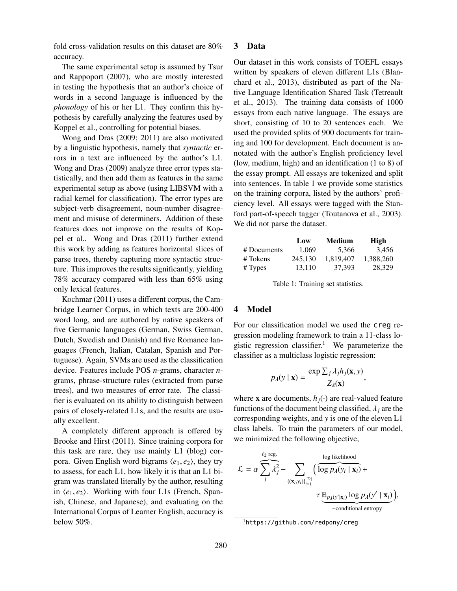fold cross-validation results on this dataset are 80% accuracy.

The same experimental setup is assumed by Tsur and Rappoport (2007), who are mostly interested in testing the hypothesis that an author's choice of words in a second language is influenced by the *phonology* of his or her L1. They confirm this hypothesis by carefully analyzing the features used by Koppel et al., controlling for potential biases.

Wong and Dras (2009; 2011) are also motivated by a linguistic hypothesis, namely that *syntactic* errors in a text are influenced by the author's L1. Wong and Dras (2009) analyze three error types statistically, and then add them as features in the same experimental setup as above (using LIBSVM with a radial kernel for classification). The error types are subject-verb disagreement, noun-number disagreement and misuse of determiners. Addition of these features does not improve on the results of Koppel et al.. Wong and Dras (2011) further extend this work by adding as features horizontal slices of parse trees, thereby capturing more syntactic structure. This improves the results significantly, yielding 78% accuracy compared with less than 65% using only lexical features.

Kochmar (2011) uses a different corpus, the Cambridge Learner Corpus, in which texts are 200-400 word long, and are authored by native speakers of five Germanic languages (German, Swiss German, Dutch, Swedish and Danish) and five Romance languages (French, Italian, Catalan, Spanish and Portuguese). Again, SVMs are used as the classification device. Features include POS *n*-grams, character *n*grams, phrase-structure rules (extracted from parse trees), and two measures of error rate. The classifier is evaluated on its ability to distinguish between pairs of closely-related L1s, and the results are usually excellent.

A completely different approach is offered by Brooke and Hirst (2011). Since training corpora for this task are rare, they use mainly L1 (blog) corpora. Given English word bigrams  $\langle e_1, e_2 \rangle$ , they try to assess, for each L1, how likely it is that an L1 bigram was translated literally by the author, resulting in  $\langle e_1, e_2 \rangle$ . Working with four L1s (French, Spanish, Chinese, and Japanese), and evaluating on the International Corpus of Learner English, accuracy is below 50%.

### 3 Data

Our dataset in this work consists of TOEFL essays written by speakers of eleven different L1s (Blanchard et al., 2013), distributed as part of the Native Language Identification Shared Task (Tetreault et al., 2013). The training data consists of 1000 essays from each native language. The essays are short, consisting of 10 to 20 sentences each. We used the provided splits of 900 documents for training and 100 for development. Each document is annotated with the author's English proficiency level (low, medium, high) and an identification (1 to 8) of the essay prompt. All essays are tokenized and split into sentences. In table 1 we provide some statistics on the training corpora, listed by the authors' proficiency level. All essays were tagged with the Stanford part-of-speech tagger (Toutanova et al., 2003). We did not parse the dataset.

|             | Low     | Medium    | High      |
|-------------|---------|-----------|-----------|
| # Documents | 1.069   | 5.366     | 3.456     |
| # Tokens    | 245,130 | 1.819.407 | 1,388,260 |
| $#$ Types   | 13.110  | 37.393    | 28.329    |

Table 1: Training set statistics.

## 4 Model

For our classification model we used the creg regression modeling framework to train a 11-class logistic regression classifier.<sup>1</sup> We parameterize the classifier as a multiclass logistic regression:

$$
p_{\lambda}(y \mid \mathbf{x}) = \frac{\exp \sum_{j} \lambda_{j} h_{j}(\mathbf{x}, y)}{Z_{\lambda}(\mathbf{x})}
$$

,

where **x** are documents,  $h_j(\cdot)$  are real-valued feature functions of the document being classified,  $\lambda_j$  are the corresponding weights, and *y* is one of the eleven L1 class labels. To train the parameters of our model, we minimized the following objective,

$$
\mathcal{L} = \alpha \sum_{j}^{\ell_2} \sum_{\{(\mathbf{x}_i, y_i)\}_{i=1}^{|\mathcal{D}|}} \left( \overbrace{\log p_{\lambda}(y_i \mid \mathbf{x}_i)}^{\text{log likelihood}} + \frac{\pi \underline{\mathbb{E}_{p_{\lambda}(y' \mid \mathbf{x}_i)}} + \pi \underline{\mathbb{E}_{p_{\lambda}(y' \mid \mathbf{x}_i)}} \log p_{\lambda}(y' \mid \mathbf{x}_i)} - \text{conditional entropy} \right)
$$

<sup>1</sup>https://github.com/redpony/creg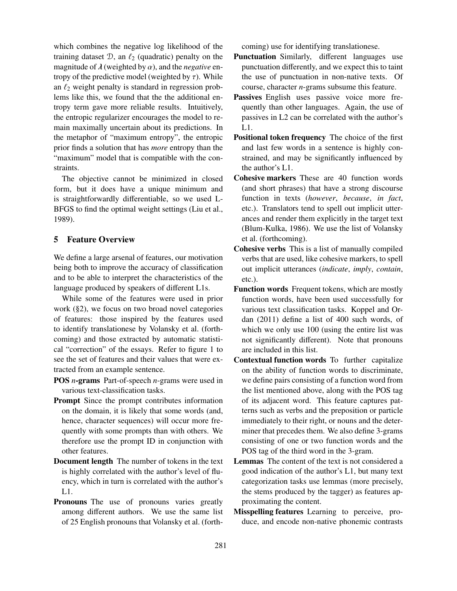which combines the negative log likelihood of the training dataset  $\mathcal{D}$ , an  $\ell_2$  (quadratic) penalty on the magnitude of  $\lambda$  (weighted by  $\alpha$ ), and the *negative* entropy of the predictive model (weighted by  $\tau$ ). While an  $\ell_2$  weight penalty is standard in regression problems like this, we found that the the additional entropy term gave more reliable results. Intuitively, the entropic regularizer encourages the model to remain maximally uncertain about its predictions. In the metaphor of "maximum entropy", the entropic prior finds a solution that has *more* entropy than the "maximum" model that is compatible with the constraints.

The objective cannot be minimized in closed form, but it does have a unique minimum and is straightforwardly differentiable, so we used L-BFGS to find the optimal weight settings (Liu et al., 1989).

# 5 Feature Overview

We define a large arsenal of features, our motivation being both to improve the accuracy of classification and to be able to interpret the characteristics of the language produced by speakers of different L1s.

While some of the features were used in prior work (§2), we focus on two broad novel categories of features: those inspired by the features used to identify translationese by Volansky et al. (forthcoming) and those extracted by automatic statistical "correction" of the essays. Refer to figure 1 to see the set of features and their values that were extracted from an example sentence.

- POS *n*-grams Part-of-speech *n*-grams were used in various text-classification tasks.
- Prompt Since the prompt contributes information on the domain, it is likely that some words (and, hence, character sequences) will occur more frequently with some prompts than with others. We therefore use the prompt ID in conjunction with other features.
- Document length The number of tokens in the text is highly correlated with the author's level of fluency, which in turn is correlated with the author's L1.
- Pronouns The use of pronouns varies greatly among different authors. We use the same list of 25 English pronouns that Volansky et al. (forth-

coming) use for identifying translationese.

- Punctuation Similarly, different languages use punctuation differently, and we expect this to taint the use of punctuation in non-native texts. Of course, character *n*-grams subsume this feature.
- Passives English uses passive voice more frequently than other languages. Again, the use of passives in L2 can be correlated with the author's L1.
- Positional token frequency The choice of the first and last few words in a sentence is highly constrained, and may be significantly influenced by the author's L1.
- Cohesive markers These are 40 function words (and short phrases) that have a strong discourse function in texts (*however*, *because*, *in fact*, etc.). Translators tend to spell out implicit utterances and render them explicitly in the target text (Blum-Kulka, 1986). We use the list of Volansky et al. (forthcoming).
- Cohesive verbs This is a list of manually compiled verbs that are used, like cohesive markers, to spell out implicit utterances (*indicate*, *imply*, *contain*, etc.).
- Function words Frequent tokens, which are mostly function words, have been used successfully for various text classification tasks. Koppel and Ordan (2011) define a list of 400 such words, of which we only use 100 (using the entire list was not significantly different). Note that pronouns are included in this list.
- Contextual function words To further capitalize on the ability of function words to discriminate, we define pairs consisting of a function word from the list mentioned above, along with the POS tag of its adjacent word. This feature captures patterns such as verbs and the preposition or particle immediately to their right, or nouns and the determiner that precedes them. We also define 3-grams consisting of one or two function words and the POS tag of the third word in the 3-gram.
- Lemmas The content of the text is not considered a good indication of the author's L1, but many text categorization tasks use lemmas (more precisely, the stems produced by the tagger) as features approximating the content.
- Misspelling features Learning to perceive, produce, and encode non-native phonemic contrasts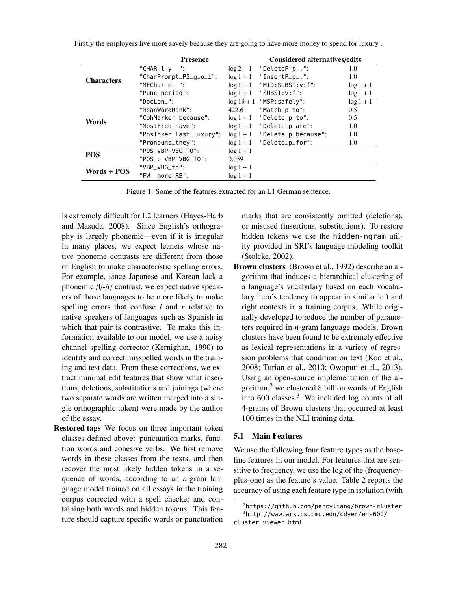|                   | <b>Presence</b>         |              | <b>Considered alternatives/edits</b> |               |  |  |
|-------------------|-------------------------|--------------|--------------------------------------|---------------|--|--|
|                   | "CHAR $l_y$ ":          | $\log 2 + 1$ | "Delete $P_p$ .":                    | 1.0           |  |  |
| <b>Characters</b> | "CharPrompt_P5_q_o_i":  | $\log 1 + 1$ | "Insert $P_p$ .":                    | $1.0^{\circ}$ |  |  |
|                   | "MFChare ":             | $\log 1 + 1$ | "MID: SUBST: v: f":                  | $\log 1 + 1$  |  |  |
|                   | "Punc_period":          | $\log 1 + 1$ | $"SUBST: v: f"$ :                    | $\log 1 + 1$  |  |  |
|                   | "DocLen ":              |              | $log 19 + 1$ "MSP: safely":          | $\log 1 + 1$  |  |  |
|                   | "MeanWordRank":         | 422.6        | "Match_p_to":                        | 0.5           |  |  |
| Words             | "CohMarker_because":    | $\log 1 + 1$ | "Delete_p_to":                       | $0.5^{\circ}$ |  |  |
|                   | "MostFreq_have":        | $\log 1 + 1$ | "Delete_p_are":                      | $1.0^{\circ}$ |  |  |
|                   | "PosToken_last_luxury": | $\log 1 + 1$ | "Delete_p_because":                  | $1.0^{\circ}$ |  |  |
|                   | "Pronouns_they":        | $\log 1 + 1$ | "Delete_p_for":                      | 1.0           |  |  |
| <b>POS</b>        | "POS VBP VBG TO":       | $\log 1 + 1$ |                                      |               |  |  |
|                   | $"POS_p_VBP_VBG_T0":$   | 0.059        |                                      |               |  |  |
| Words + POS       | "VBP VBG to":           | $\log 1 + 1$ |                                      |               |  |  |
|                   | "FW__more RB":          | $\log 1 + 1$ |                                      |               |  |  |
|                   |                         |              |                                      |               |  |  |

Firstly the employers live more savely because they are going to have more money to spend for luxury .

Figure 1: Some of the features extracted for an L1 German sentence.

is extremely difficult for L2 learners (Hayes-Harb and Masuda, 2008). Since English's orthography is largely phonemic—even if it is irregular in many places, we expect leaners whose native phoneme contrasts are different from those of English to make characteristic spelling errors. For example, since Japanese and Korean lack a phonemic /l/-/r/ contrast, we expect native speakers of those languages to be more likely to make spelling errors that confuse *l* and *r* relative to native speakers of languages such as Spanish in which that pair is contrastive. To make this information available to our model, we use a noisy channel spelling corrector (Kernighan, 1990) to identify and correct misspelled words in the training and test data. From these corrections, we extract minimal edit features that show what insertions, deletions, substitutions and joinings (where two separate words are written merged into a single orthographic token) were made by the author of the essay.

Restored tags We focus on three important token classes defined above: punctuation marks, function words and cohesive verbs. We first remove words in these classes from the texts, and then recover the most likely hidden tokens in a sequence of words, according to an *n*-gram language model trained on all essays in the training corpus corrected with a spell checker and containing both words and hidden tokens. This feature should capture specific words or punctuation marks that are consistently omitted (deletions), or misused (insertions, substitutions). To restore hidden tokens we use the hidden-ngram utility provided in SRI's language modeling toolkit (Stolcke, 2002).

Brown clusters (Brown et al., 1992) describe an algorithm that induces a hierarchical clustering of a language's vocabulary based on each vocabulary item's tendency to appear in similar left and right contexts in a training corpus. While originally developed to reduce the number of parameters required in *n*-gram language models, Brown clusters have been found to be extremely effective as lexical representations in a variety of regression problems that condition on text (Koo et al., 2008; Turian et al., 2010; Owoputi et al., 2013). Using an open-source implementation of the algorithm, $2$  we clustered 8 billion words of English into  $600$  classes.<sup>3</sup> We included log counts of all 4-grams of Brown clusters that occurred at least 100 times in the NLI training data.

# 5.1 Main Features

We use the following four feature types as the baseline features in our model. For features that are sensitive to frequency, we use the log of the (frequencyplus-one) as the feature's value. Table 2 reports the accuracy of using each feature type in isolation (with

<sup>2</sup>https://github.com/percyliang/brown-cluster <sup>3</sup>http://www.ark.cs.cmu.edu/cdyer/en-600/

cluster\_viewer.html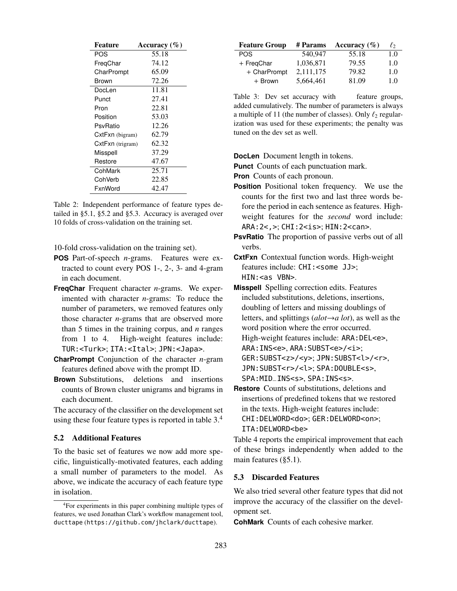| Feature          | Accuracy $(\% )$ |
|------------------|------------------|
| POS              | 55.18            |
| FregChar         | 74.12            |
| CharPrompt       | 65.09            |
| Brown            | 72.26            |
| DocLen           | 11.81            |
| Punct            | 27.41            |
| Pron             | 22.81            |
| Position         | 53.03            |
| PsvRatio         | 12.26            |
| CxtFxn (bigram)  | 62.79            |
| CxtFxn (trigram) | 62.32            |
| Misspell         | 37.29            |
| Restore          | 47.67            |
| CohMark          | 25.71            |
| CohVerb          | 22.85            |
| FxnWord          | 42.47            |

Table 2: Independent performance of feature types detailed in §5.1, §5.2 and §5.3. Accuracy is averaged over 10 folds of cross-validation on the training set.

10-fold cross-validation on the training set).

- **POS** Part-of-speech *n*-grams. Features were extracted to count every POS 1-, 2-, 3- and 4-gram in each document.
- **FreqChar** Frequent character *n*-grams. We experimented with character *n*-grams: To reduce the number of parameters, we removed features only those character *n*-grams that are observed more than 5 times in the training corpus, and *n* ranges from 1 to 4. High-weight features include: TUR:<Turk>; ITA:<Ital>; JPN:<Japa>.
- **CharPrompt** Conjunction of the character *n*-gram features defined above with the prompt ID.
- **Brown** Substitutions, deletions and insertions counts of Brown cluster unigrams and bigrams in each document.

The accuracy of the classifier on the development set using these four feature types is reported in table 3.<sup>4</sup>

## 5.2 Additional Features

To the basic set of features we now add more specific, linguistically-motivated features, each adding a small number of parameters to the model. As above, we indicate the accuracy of each feature type in isolation.

| <b>Feature Group</b> | # Params  | Accuracy $(\% )$ | $\ell_{2}$ |
|----------------------|-----------|------------------|------------|
| POS.                 | 540.947   | 55.18            | 1.0        |
| + FreqChar           | 1,036,871 | 79.55            | 1.0        |
| + CharPrompt         | 2,111,175 | 79.82            | 1.0        |
| $+$ Brown            | 5,664,461 | 81.09            | 1.0        |

Table 3: Dev set accuracy with feature groups, added cumulatively. The number of parameters is always a multiple of 11 (the number of classes). Only  $\ell_2$  regularization was used for these experiments; the penalty was tuned on the dev set as well.

**DocLen** Document length in tokens.

- **Punct** Counts of each punctuation mark.
- **Pron** Counts of each pronoun.
- **Position** Positional token frequency. We use the counts for the first two and last three words before the period in each sentence as features. Highweight features for the *second* word include: ARA:2<,>; CHI:2<is>; HIN:2<can>.
- **PsvRatio** The proportion of passive verbs out of all verbs.
- **CxtFxn** Contextual function words. High-weight features include: CHI: < some JJ>; HIN:<as VBN>.
- **Misspell** Spelling correction edits. Features included substitutions, deletions, insertions, doubling of letters and missing doublings of letters, and splittings (*alot*→*a lot*), as well as the word position where the error occurred. High-weight features include: ARA:DEL<e>, ARA: INS<e>, ARA: SUBST<e>/<i>; GER:SUBST<z>/<y>; JPN:SUBST<l>/<r>, JPN:SUBST<r>/<l>; SPA:DOUBLE<s>, SPA:MID\_INS<s>, SPA:INS<s>.
- **Restore** Counts of substitutions, deletions and insertions of predefined tokens that we restored in the texts. High-weight features include: CHI:DELWORD<do>; GER:DELWORD<on>; ITA:DELWORD<be>

Table 4 reports the empirical improvement that each of these brings independently when added to the main features (§5.1).

#### 5.3 Discarded Features

We also tried several other feature types that did not improve the accuracy of the classifier on the development set.

**CohMark** Counts of each cohesive marker.

<sup>4</sup>For experiments in this paper combining multiple types of features, we used Jonathan Clark's workflow management tool, ducttape (https://github.com/jhclark/ducttape).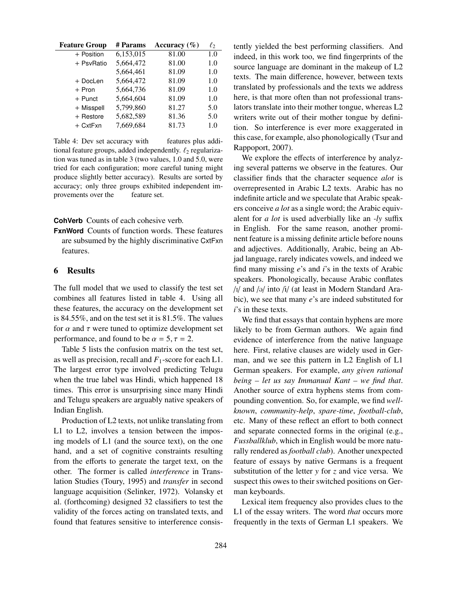| <b>Feature Group</b> | # Params  | Accuracy $(\% )$ | $\ell_2$ |
|----------------------|-----------|------------------|----------|
| + Position           | 6,153,015 | 81.00            | 1.0      |
| + PsvRatio           | 5,664,472 | 81.00            | 1.0      |
|                      | 5,664,461 | 81.09            | 1.0      |
| + DocLen             | 5,664,472 | 81.09            | 1.0      |
| $+$ Pron             | 5,664,736 | 81.09            | 1.0      |
| $+$ Punct            | 5,664,604 | 81.09            | 1.0      |
| + Misspell           | 5,799,860 | 81.27            | 5.0      |
| + Restore            | 5,682,589 | 81.36            | 5.0      |
| $+$ CxtFxn           | 7,669,684 | 81.73            | 1.0      |

Table 4: Dev set accuracy with features plus additional feature groups, added independently.  $\ell_2$  regularization was tuned as in table 3 (two values, 1.0 and 5.0, were tried for each configuration; more careful tuning might produce slightly better accuracy). Results are sorted by accuracy; only three groups exhibited independent improvements over the feature set.

**CohVerb** Counts of each cohesive verb.

**FxnWord** Counts of function words. These features are subsumed by the highly discriminative CxtFxn features.

# 6 Results

The full model that we used to classify the test set combines all features listed in table 4. Using all these features, the accuracy on the development set is 84.55%, and on the test set it is 81.5%. The values for  $\alpha$  and  $\tau$  were tuned to optimize development set performance, and found to be  $\alpha = 5, \tau = 2$ .

Table 5 lists the confusion matrix on the test set, as well as precision, recall and *F*1-score for each L1. The largest error type involved predicting Telugu when the true label was Hindi, which happened 18 times. This error is unsurprising since many Hindi and Telugu speakers are arguably native speakers of Indian English.

Production of L2 texts, not unlike translating from L1 to L2, involves a tension between the imposing models of L1 (and the source text), on the one hand, and a set of cognitive constraints resulting from the efforts to generate the target text, on the other. The former is called *interference* in Translation Studies (Toury, 1995) and *transfer* in second language acquisition (Selinker, 1972). Volansky et al. (forthcoming) designed 32 classifiers to test the validity of the forces acting on translated texts, and found that features sensitive to interference consistently yielded the best performing classifiers. And indeed, in this work too, we find fingerprints of the source language are dominant in the makeup of L2 texts. The main difference, however, between texts translated by professionals and the texts we address here, is that more often than not professional translators translate into their mother tongue, whereas L2 writers write out of their mother tongue by definition. So interference is ever more exaggerated in this case, for example, also phonologically (Tsur and Rappoport, 2007).

We explore the effects of interference by analyzing several patterns we observe in the features. Our classifier finds that the character sequence *alot* is overrepresented in Arabic L2 texts. Arabic has no indefinite article and we speculate that Arabic speakers conceive *a lot* as a single word; the Arabic equivalent for *a lot* is used adverbially like an *-ly* suffix in English. For the same reason, another prominent feature is a missing definite article before nouns and adjectives. Additionally, Arabic, being an Abjad language, rarely indicates vowels, and indeed we find many missing *e*'s and *i*'s in the texts of Arabic speakers. Phonologically, because Arabic conflates /I/ and /@/ into /i/ (at least in Modern Standard Arabic), we see that many *e*'s are indeed substituted for *i*'s in these texts.

We find that essays that contain hyphens are more likely to be from German authors. We again find evidence of interference from the native language here. First, relative clauses are widely used in German, and we see this pattern in L2 English of L1 German speakers. For example, *any given rational being – let us say Immanual Kant – we find that*. Another source of extra hyphens stems from compounding convention. So, for example, we find *wellknown*, *community-help*, *spare-time*, *football-club*, etc. Many of these reflect an effort to both connect and separate connected forms in the original (e.g., *Fussballklub*, which in English would be more naturally rendered as *football club*). Another unexpected feature of essays by native Germans is a frequent substitution of the letter *y* for *z* and vice versa. We suspect this owes to their switched positions on German keyboards.

Lexical item frequency also provides clues to the L1 of the essay writers. The word *that* occurs more frequently in the texts of German L1 speakers. We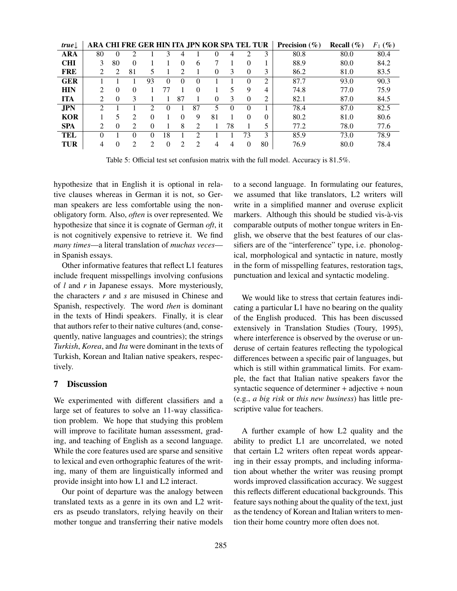| true       |                |          |                             |               |          |                             |                             | ARA CHI FRE GER HIN ITA JPN KOR SPA TEL TUR |          |          |          | <b>Precision</b> $(\%)$ | Recall $(\%)$ | $F_1$ (%) |
|------------|----------------|----------|-----------------------------|---------------|----------|-----------------------------|-----------------------------|---------------------------------------------|----------|----------|----------|-------------------------|---------------|-----------|
| ARA        | 80             |          |                             |               |          |                             |                             |                                             |          |          | 3        | 80.8                    | 80.0          | 80.4      |
| <b>CHI</b> | 3              | 80       | $\Omega$                    |               |          | 0                           | 6                           |                                             |          | $\Omega$ |          | 88.9                    | 80.0          | 84.2      |
| FRE        | $\mathfrak{D}$ | 2        | 81                          | 5             |          | $\mathfrak{D}$              |                             | 0                                           | 3        | $\Omega$ | 3        | 86.2                    | 81.0          | 83.5      |
| <b>GER</b> |                |          |                             | 93            | $\Omega$ | $\theta$                    |                             |                                             |          | 0        | 2        | 87.7                    | 93.0          | 90.3      |
| <b>HIN</b> | 2              | $\Omega$ | $\Omega$                    |               | 77       |                             | $\Omega$                    |                                             | 5        | 9        | 4        | 74.8                    | 77.0          | 75.9      |
| <b>ITA</b> | 2              | $\Omega$ | 3                           |               |          | 87                          |                             | $\Omega$                                    | 3        | $\Omega$ | 2        | 82.1                    | 87.0          | 84.5      |
| <b>JPN</b> | ∍              |          |                             | $\mathcal{D}$ | $\theta$ |                             | 87                          | 5                                           | $\Omega$ | $\Omega$ |          | 78.4                    | 87.0          | 82.5      |
| <b>KOR</b> |                |          | っ                           | $\Omega$      |          | $\Omega$                    | 9                           | 81                                          |          | $\Omega$ | $\Omega$ | 80.2                    | 81.0          | 80.6      |
| <b>SPA</b> | $\mathfrak{D}$ | $\Omega$ | $\mathcal{D}_{\mathcal{L}}$ | $\Omega$      |          | 8                           | $\mathcal{D}_{\mathcal{L}}$ |                                             | 78       |          | 5        | 77.2                    | 78.0          | 77.6      |
| TEL        |                |          |                             | 0             | 18       |                             |                             |                                             |          | 73       | 3        | 85.9                    | 73.0          | 78.9      |
| TUR        | 4              | 0        | $\mathfrak{D}$              | C             | $\theta$ | $\mathcal{D}_{\mathcal{A}}$ | $\mathfrak{D}$              | 4                                           | 4        | $\Omega$ | 80       | 76.9                    | 80.0          | 78.4      |

Table 5: Official test set confusion matrix with the full model. Accuracy is 81.5%.

hypothesize that in English it is optional in relative clauses whereas in German it is not, so German speakers are less comfortable using the nonobligatory form. Also, *often* is over represented. We hypothesize that since it is cognate of German *oft*, it is not cognitively expensive to retrieve it. We find *many times*—a literal translation of *muchas veces* in Spanish essays.

Other informative features that reflect L1 features include frequent misspellings involving confusions of *l* and *r* in Japanese essays. More mysteriously, the characters *r* and *s* are misused in Chinese and Spanish, respectively. The word *then* is dominant in the texts of Hindi speakers. Finally, it is clear that authors refer to their native cultures (and, consequently, native languages and countries); the strings *Turkish*, *Korea*, and *Ita* were dominant in the texts of Turkish, Korean and Italian native speakers, respectively.

#### 7 Discussion

We experimented with different classifiers and a large set of features to solve an 11-way classification problem. We hope that studying this problem will improve to facilitate human assessment, grading, and teaching of English as a second language. While the core features used are sparse and sensitive to lexical and even orthographic features of the writing, many of them are linguistically informed and provide insight into how L1 and L2 interact.

Our point of departure was the analogy between translated texts as a genre in its own and L2 writers as pseudo translators, relying heavily on their mother tongue and transferring their native models

to a second language. In formulating our features, we assumed that like translators, L2 writers will write in a simplified manner and overuse explicit markers. Although this should be studied vis-à-vis comparable outputs of mother tongue writers in English, we observe that the best features of our classifiers are of the "interference" type, i.e. phonological, morphological and syntactic in nature, mostly in the form of misspelling features, restoration tags, punctuation and lexical and syntactic modeling.

We would like to stress that certain features indicating a particular L1 have no bearing on the quality of the English produced. This has been discussed extensively in Translation Studies (Toury, 1995), where interference is observed by the overuse or underuse of certain features reflecting the typological differences between a specific pair of languages, but which is still within grammatical limits. For example, the fact that Italian native speakers favor the syntactic sequence of determiner + adjective + noun (e.g., *a big risk* or *this new business*) has little prescriptive value for teachers.

A further example of how L2 quality and the ability to predict L1 are uncorrelated, we noted that certain L2 writers often repeat words appearing in their essay prompts, and including information about whether the writer was reusing prompt words improved classification accuracy. We suggest this reflects different educational backgrounds. This feature says nothing about the quality of the text, just as the tendency of Korean and Italian writers to mention their home country more often does not.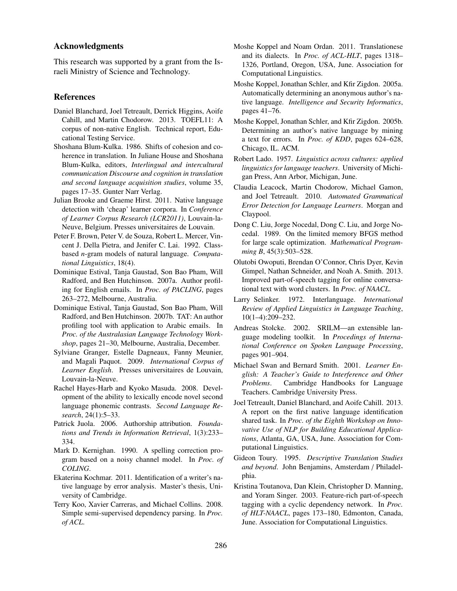## Acknowledgments

This research was supported by a grant from the Israeli Ministry of Science and Technology.

#### References

- Daniel Blanchard, Joel Tetreault, Derrick Higgins, Aoife Cahill, and Martin Chodorow. 2013. TOEFL11: A corpus of non-native English. Technical report, Educational Testing Service.
- Shoshana Blum-Kulka. 1986. Shifts of cohesion and coherence in translation. In Juliane House and Shoshana Blum-Kulka, editors, *Interlingual and intercultural communication Discourse and cognition in translation and second language acquisition studies*, volume 35, pages 17–35. Gunter Narr Verlag.
- Julian Brooke and Graeme Hirst. 2011. Native language detection with 'cheap' learner corpora. In *Conference of Learner Corpus Research (LCR2011)*, Louvain-la-Neuve, Belgium. Presses universitaires de Louvain.
- Peter F. Brown, Peter V. de Souza, Robert L. Mercer, Vincent J. Della Pietra, and Jenifer C. Lai. 1992. Classbased *n*-gram models of natural language. *Computational Linguistics*, 18(4).
- Dominique Estival, Tanja Gaustad, Son Bao Pham, Will Radford, and Ben Hutchinson. 2007a. Author profiling for English emails. In *Proc. of PACLING*, pages 263–272, Melbourne, Australia.
- Dominique Estival, Tanja Gaustad, Son Bao Pham, Will Radford, and Ben Hutchinson. 2007b. TAT: An author profiling tool with application to Arabic emails. In *Proc. of the Australasian Language Technology Workshop*, pages 21–30, Melbourne, Australia, December.
- Sylviane Granger, Estelle Dagneaux, Fanny Meunier, and Magali Paquot. 2009. *International Corpus of Learner English*. Presses universitaires de Louvain, Louvain-la-Neuve.
- Rachel Hayes-Harb and Kyoko Masuda. 2008. Development of the ability to lexically encode novel second language phonemic contrasts. *Second Language Research*, 24(1):5–33.
- Patrick Juola. 2006. Authorship attribution. *Foundations and Trends in Information Retrieval*, 1(3):233– 334.
- Mark D. Kernighan. 1990. A spelling correction program based on a noisy channel model. In *Proc. of COLING*.
- Ekaterina Kochmar. 2011. Identification of a writer's native language by error analysis. Master's thesis, University of Cambridge.
- Terry Koo, Xavier Carreras, and Michael Collins. 2008. Simple semi-supervised dependency parsing. In *Proc. of ACL*.
- Moshe Koppel and Noam Ordan. 2011. Translationese and its dialects. In *Proc. of ACL-HLT*, pages 1318– 1326, Portland, Oregon, USA, June. Association for Computational Linguistics.
- Moshe Koppel, Jonathan Schler, and Kfir Zigdon. 2005a. Automatically determining an anonymous author's native language. *Intelligence and Security Informatics*, pages 41–76.
- Moshe Koppel, Jonathan Schler, and Kfir Zigdon. 2005b. Determining an author's native language by mining a text for errors. In *Proc. of KDD*, pages 624–628, Chicago, IL. ACM.
- Robert Lado. 1957. *Linguistics across cultures: applied linguistics for language teachers*. University of Michigan Press, Ann Arbor, Michigan, June.
- Claudia Leacock, Martin Chodorow, Michael Gamon, and Joel Tetreault. 2010. *Automated Grammatical Error Detection for Language Learners*. Morgan and Claypool.
- Dong C. Liu, Jorge Nocedal, Dong C. Liu, and Jorge Nocedal. 1989. On the limited memory BFGS method for large scale optimization. *Mathematical Programming B*, 45(3):503–528.
- Olutobi Owoputi, Brendan O'Connor, Chris Dyer, Kevin Gimpel, Nathan Schneider, and Noah A. Smith. 2013. Improved part-of-speech tagging for online conversational text with word clusters. In *Proc. of NAACL*.
- Larry Selinker. 1972. Interlanguage. *International Review of Applied Linguistics in Language Teaching*, 10(1–4):209–232.
- Andreas Stolcke. 2002. SRILM—an extensible language modeling toolkit. In *Procedings of International Conference on Spoken Language Processing*, pages 901–904.
- Michael Swan and Bernard Smith. 2001. *Learner English: A Teacher's Guide to Interference and Other Problems*. Cambridge Handbooks for Language Teachers. Cambridge University Press.
- Joel Tetreault, Daniel Blanchard, and Aoife Cahill. 2013. A report on the first native language identification shared task. In *Proc. of the Eighth Workshop on Innovative Use of NLP for Building Educational Applications*, Atlanta, GA, USA, June. Association for Computational Linguistics.
- Gideon Toury. 1995. *Descriptive Translation Studies and beyond*. John Benjamins, Amsterdam / Philadelphia.
- Kristina Toutanova, Dan Klein, Christopher D. Manning, and Yoram Singer. 2003. Feature-rich part-of-speech tagging with a cyclic dependency network. In *Proc. of HLT-NAACL*, pages 173–180, Edmonton, Canada, June. Association for Computational Linguistics.